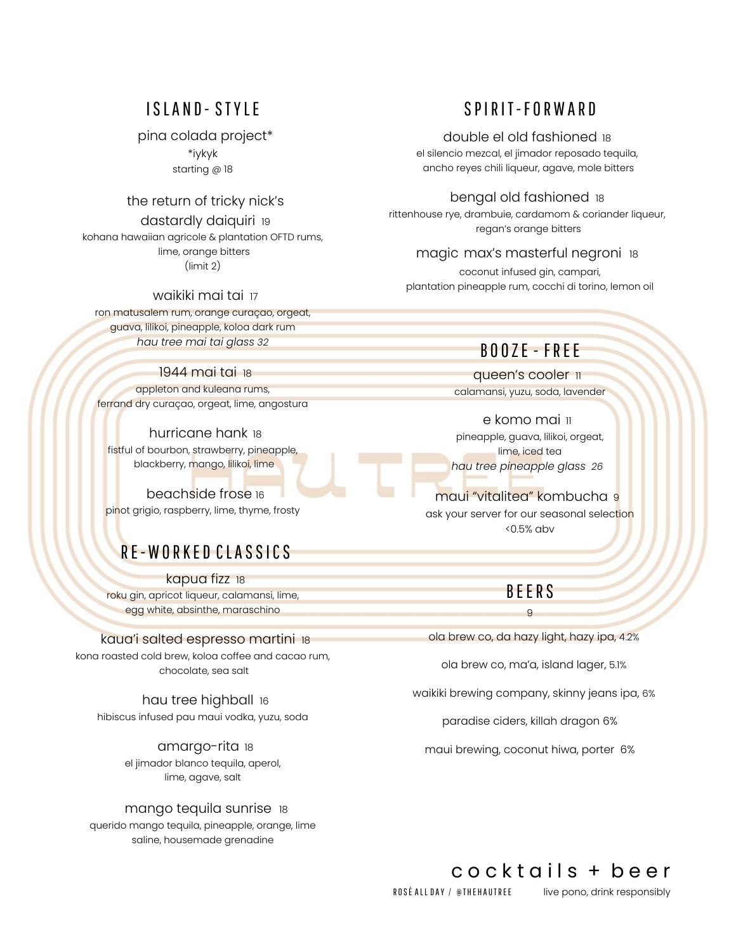### ISLAND - STYLE

#### pina colada project\*

\*iykyk starting @ 18

### the return of tricky nick's

#### dastardly daiquiri 19

kohana hawaiian agricole & plantation OFTD rums, lime, orange bitters (limit 2)

### waikiki mai tai 17

ron matusalem rum, orange curaçao, orgeat, guava, lilikoi, pineapple, koloa dark rum *hau tree mai tai glass 32*

### 1944 mai tai 18

appleton and kuleana rums, ferrand dry curaçao, orgeat, lime, angostura

hurricane hank 18 fistful of bourbon, strawberry, pineapple, blackberry, mango, lilikoi, lime

beachside frose 16 pinot grigio, raspberry, lime, thyme, frosty

# RE-WORKED CLASSICS

kapua fizz 18 roku gin, apricot liqueur, calamansi, lime, egg white, absinthe, maraschino

### kaua'i salted espresso martini 18

kona roasted cold brew, koloa coffee and cacao rum, chocolate, sea salt

hau tree highball 16 hibiscus infused pau maui vodka, yuzu, soda

> amargo-rita 18 el jimador blanco tequila, aperol, lime, agave, salt

### mango tequila sunrise 18

querido mango tequila, pineapple, orange, lime saline, housemade grenadine

### SPIRIT-FORWARD

#### double el old fashioned 18

el silencio mezcal, el jimador reposado tequila, ancho reyes chili liqueur, agave, mole bitters

### bengal old fashioned 18

rittenhouse rye, drambuie, cardamom & coriander liqueur, regan's orange bitters

### magic max's masterful negroni 18

coconut infused gin, campari, plantation pineapple rum, cocchi di torino, lemon oil

### B O O ZE - FREE

queen's cooler 11 calamansi, yuzu, soda, lavender

e komo mai 11 pineapple, guava, lilikoi, orgeat, lime, iced tea *hau tree pineapple glass 26*

maui "vitalitea" kombucha 9 ask your server for our seasonal selection <0.5% abv

### BEERS

9 ola brew co, da hazy light, hazy ipa, 4.2%

ola brew co, ma'a, island lager, 5.1%

waikiki brewing company, skinny jeans ipa, 6%

paradise ciders, killah dragon 6%

maui brewing, coconut hiwa, porter 6%

### cocktails + beer

ROSÉ ALL DAY / @THEHAUTREE live pono, drink responsibly